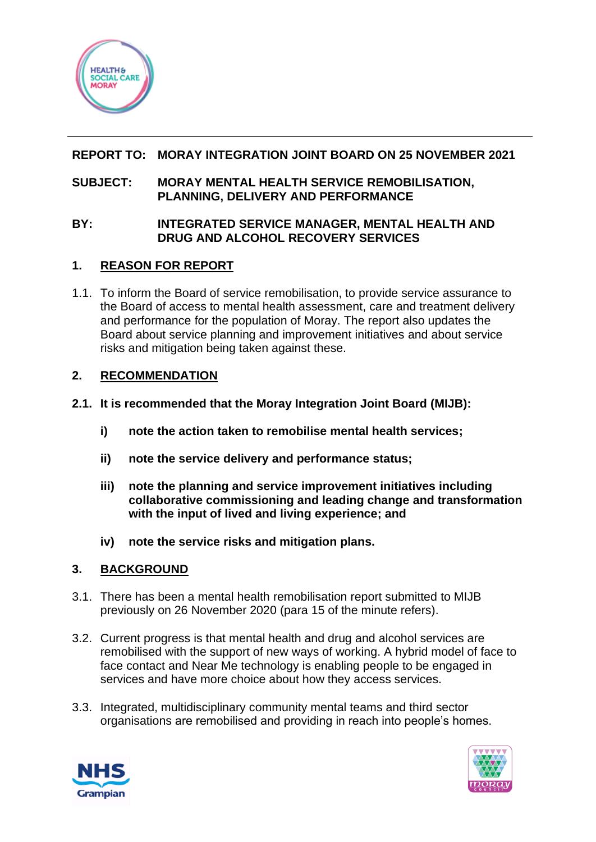

## **REPORT TO: MORAY INTEGRATION JOINT BOARD ON 25 NOVEMBER 2021**

#### **SUBJECT: MORAY MENTAL HEALTH SERVICE REMOBILISATION, PLANNING, DELIVERY AND PERFORMANCE**

### **BY: INTEGRATED SERVICE MANAGER, MENTAL HEALTH AND DRUG AND ALCOHOL RECOVERY SERVICES**

### **1. REASON FOR REPORT**

1.1. To inform the Board of service remobilisation, to provide service assurance to the Board of access to mental health assessment, care and treatment delivery and performance for the population of Moray. The report also updates the Board about service planning and improvement initiatives and about service risks and mitigation being taken against these.

### **2. RECOMMENDATION**

- **2.1. It is recommended that the Moray Integration Joint Board (MIJB):**
	- **i) note the action taken to remobilise mental health services;**
	- **ii) note the service delivery and performance status;**
	- **iii) note the planning and service improvement initiatives including collaborative commissioning and leading change and transformation with the input of lived and living experience; and**
	- **iv) note the service risks and mitigation plans.**

### **3. BACKGROUND**

- 3.1. There has been a mental health remobilisation report submitted to MIJB previously on 26 November 2020 (para 15 of the minute refers).
- 3.2. Current progress is that mental health and drug and alcohol services are remobilised with the support of new ways of working. A hybrid model of face to face contact and Near Me technology is enabling people to be engaged in services and have more choice about how they access services.
- 3.3. Integrated, multidisciplinary community mental teams and third sector organisations are remobilised and providing in reach into people's homes.



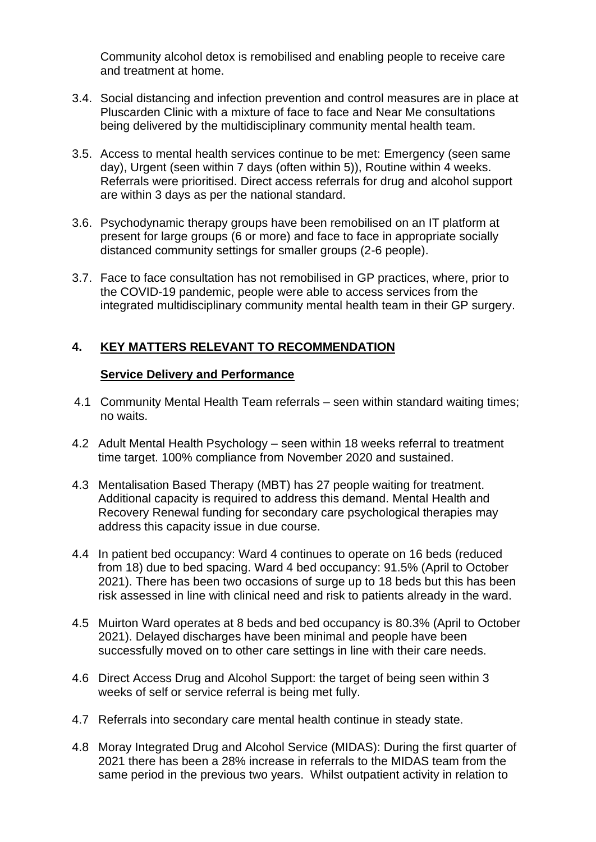Community alcohol detox is remobilised and enabling people to receive care and treatment at home.

- 3.4. Social distancing and infection prevention and control measures are in place at Pluscarden Clinic with a mixture of face to face and Near Me consultations being delivered by the multidisciplinary community mental health team.
- 3.5. Access to mental health services continue to be met: Emergency (seen same day), Urgent (seen within 7 days (often within 5)), Routine within 4 weeks. Referrals were prioritised. Direct access referrals for drug and alcohol support are within 3 days as per the national standard.
- 3.6. Psychodynamic therapy groups have been remobilised on an IT platform at present for large groups (6 or more) and face to face in appropriate socially distanced community settings for smaller groups (2-6 people).
- 3.7. Face to face consultation has not remobilised in GP practices, where, prior to the COVID-19 pandemic, people were able to access services from the integrated multidisciplinary community mental health team in their GP surgery.

# **4. KEY MATTERS RELEVANT TO RECOMMENDATION**

#### **Service Delivery and Performance**

- 4.1 Community Mental Health Team referrals seen within standard waiting times; no waits.
- 4.2 Adult Mental Health Psychology seen within 18 weeks referral to treatment time target. 100% compliance from November 2020 and sustained.
- 4.3 Mentalisation Based Therapy (MBT) has 27 people waiting for treatment. Additional capacity is required to address this demand. Mental Health and Recovery Renewal funding for secondary care psychological therapies may address this capacity issue in due course.
- 4.4 In patient bed occupancy: Ward 4 continues to operate on 16 beds (reduced from 18) due to bed spacing. Ward 4 bed occupancy: 91.5% (April to October 2021). There has been two occasions of surge up to 18 beds but this has been risk assessed in line with clinical need and risk to patients already in the ward.
- 4.5 Muirton Ward operates at 8 beds and bed occupancy is 80.3% (April to October 2021). Delayed discharges have been minimal and people have been successfully moved on to other care settings in line with their care needs.
- 4.6 Direct Access Drug and Alcohol Support: the target of being seen within 3 weeks of self or service referral is being met fully.
- 4.7 Referrals into secondary care mental health continue in steady state.
- 4.8 Moray Integrated Drug and Alcohol Service (MIDAS): During the first quarter of 2021 there has been a 28% increase in referrals to the MIDAS team from the same period in the previous two years. Whilst outpatient activity in relation to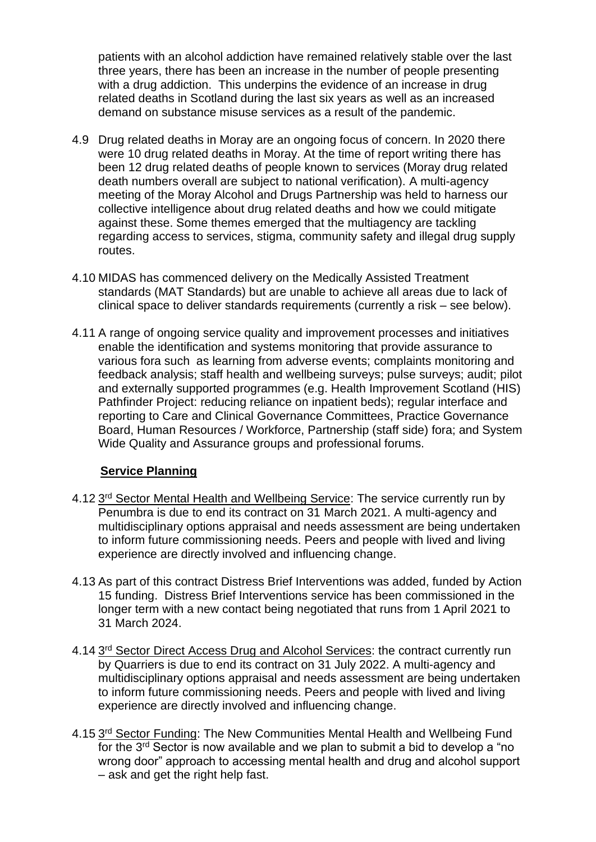patients with an alcohol addiction have remained relatively stable over the last three years, there has been an increase in the number of people presenting with a drug addiction. This underpins the evidence of an increase in drug related deaths in Scotland during the last six years as well as an increased demand on substance misuse services as a result of the pandemic.

- 4.9 Drug related deaths in Moray are an ongoing focus of concern. In 2020 there were 10 drug related deaths in Moray. At the time of report writing there has been 12 drug related deaths of people known to services (Moray drug related death numbers overall are subject to national verification). A multi-agency meeting of the Moray Alcohol and Drugs Partnership was held to harness our collective intelligence about drug related deaths and how we could mitigate against these. Some themes emerged that the multiagency are tackling regarding access to services, stigma, community safety and illegal drug supply routes.
- 4.10 MIDAS has commenced delivery on the Medically Assisted Treatment standards (MAT Standards) but are unable to achieve all areas due to lack of clinical space to deliver standards requirements (currently a risk – see below).
- 4.11 A range of ongoing service quality and improvement processes and initiatives enable the identification and systems monitoring that provide assurance to various fora such as learning from adverse events; complaints monitoring and feedback analysis; staff health and wellbeing surveys; pulse surveys; audit; pilot and externally supported programmes (e.g. Health Improvement Scotland (HIS) Pathfinder Project: reducing reliance on inpatient beds); regular interface and reporting to Care and Clinical Governance Committees, Practice Governance Board, Human Resources / Workforce, Partnership (staff side) fora; and System Wide Quality and Assurance groups and professional forums.

### **Service Planning**

- 4.12 3<sup>rd</sup> Sector Mental Health and Wellbeing Service: The service currently run by Penumbra is due to end its contract on 31 March 2021. A multi-agency and multidisciplinary options appraisal and needs assessment are being undertaken to inform future commissioning needs. Peers and people with lived and living experience are directly involved and influencing change.
- 4.13 As part of this contract Distress Brief Interventions was added, funded by Action 15 funding. Distress Brief Interventions service has been commissioned in the longer term with a new contact being negotiated that runs from 1 April 2021 to 31 March 2024.
- 4.14 3<sup>rd</sup> Sector Direct Access Drug and Alcohol Services: the contract currently run by Quarriers is due to end its contract on 31 July 2022. A multi-agency and multidisciplinary options appraisal and needs assessment are being undertaken to inform future commissioning needs. Peers and people with lived and living experience are directly involved and influencing change.
- 4.15 3<sup>rd</sup> Sector Funding: The New Communities Mental Health and Wellbeing Fund for the 3<sup>rd</sup> Sector is now available and we plan to submit a bid to develop a "no wrong door" approach to accessing mental health and drug and alcohol support – ask and get the right help fast.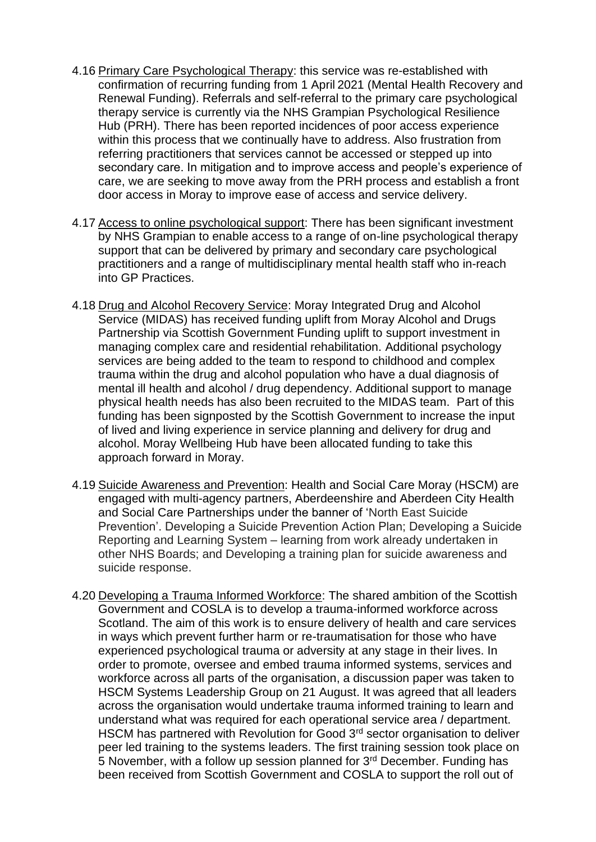- 4.16 Primary Care Psychological Therapy: this service was re-established with confirmation of recurring funding from 1 April 2021 (Mental Health Recovery and Renewal Funding). Referrals and self-referral to the primary care psychological therapy service is currently via the NHS Grampian Psychological Resilience Hub (PRH). There has been reported incidences of poor access experience within this process that we continually have to address. Also frustration from referring practitioners that services cannot be accessed or stepped up into secondary care. In mitigation and to improve access and people's experience of care, we are seeking to move away from the PRH process and establish a front door access in Moray to improve ease of access and service delivery.
- 4.17 Access to online psychological support: There has been significant investment by NHS Grampian to enable access to a range of on-line psychological therapy support that can be delivered by primary and secondary care psychological practitioners and a range of multidisciplinary mental health staff who in-reach into GP Practices.
- 4.18 Drug and Alcohol Recovery Service: Moray Integrated Drug and Alcohol Service (MIDAS) has received funding uplift from Moray Alcohol and Drugs Partnership via Scottish Government Funding uplift to support investment in managing complex care and residential rehabilitation. Additional psychology services are being added to the team to respond to childhood and complex trauma within the drug and alcohol population who have a dual diagnosis of mental ill health and alcohol / drug dependency. Additional support to manage physical health needs has also been recruited to the MIDAS team. Part of this funding has been signposted by the Scottish Government to increase the input of lived and living experience in service planning and delivery for drug and alcohol. Moray Wellbeing Hub have been allocated funding to take this approach forward in Moray.
- 4.19 Suicide Awareness and Prevention: Health and Social Care Moray (HSCM) are engaged with multi-agency partners, Aberdeenshire and Aberdeen City Health and Social Care Partnerships under the banner of 'North East Suicide Prevention'. Developing a Suicide Prevention Action Plan; Developing a Suicide Reporting and Learning System – learning from work already undertaken in other NHS Boards; and Developing a training plan for suicide awareness and suicide response.
- 4.20 Developing a Trauma Informed Workforce: The shared ambition of the Scottish Government and COSLA is to develop a trauma-informed workforce across Scotland. The aim of this work is to ensure delivery of health and care services in ways which prevent further harm or re-traumatisation for those who have experienced psychological trauma or adversity at any stage in their lives. In order to promote, oversee and embed trauma informed systems, services and workforce across all parts of the organisation, a discussion paper was taken to HSCM Systems Leadership Group on 21 August. It was agreed that all leaders across the organisation would undertake trauma informed training to learn and understand what was required for each operational service area / department. HSCM has partnered with Revolution for Good 3<sup>rd</sup> sector organisation to deliver peer led training to the systems leaders. The first training session took place on 5 November, with a follow up session planned for 3rd December. Funding has been received from Scottish Government and COSLA to support the roll out of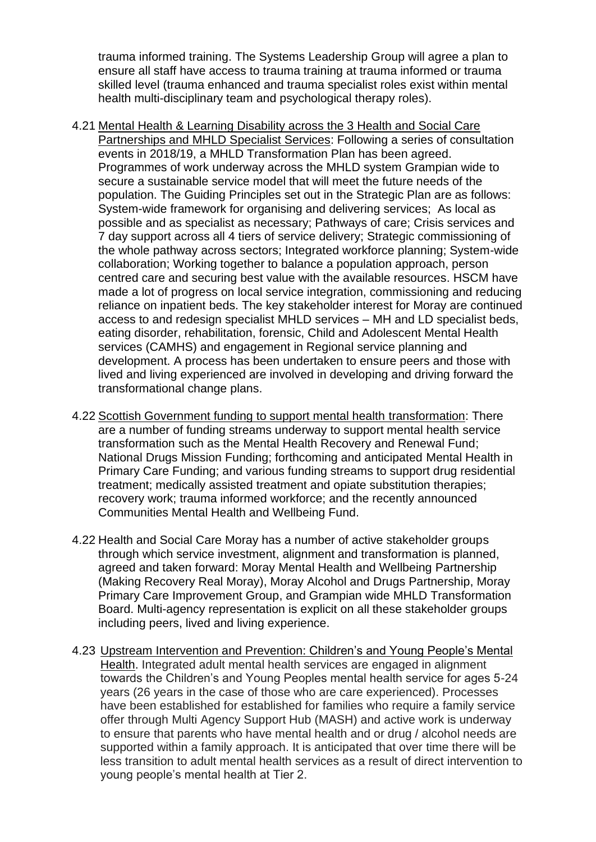trauma informed training. The Systems Leadership Group will agree a plan to ensure all staff have access to trauma training at trauma informed or trauma skilled level (trauma enhanced and trauma specialist roles exist within mental health multi-disciplinary team and psychological therapy roles).

- 4.21 Mental Health & Learning Disability across the 3 Health and Social Care Partnerships and MHLD Specialist Services: Following a series of consultation events in 2018/19, a MHLD Transformation Plan has been agreed. Programmes of work underway across the MHLD system Grampian wide to secure a sustainable service model that will meet the future needs of the population. The Guiding Principles set out in the Strategic Plan are as follows: System-wide framework for organising and delivering services; As local as possible and as specialist as necessary; Pathways of care; Crisis services and 7 day support across all 4 tiers of service delivery; Strategic commissioning of the whole pathway across sectors; Integrated workforce planning; System-wide collaboration; Working together to balance a population approach, person centred care and securing best value with the available resources. HSCM have made a lot of progress on local service integration, commissioning and reducing reliance on inpatient beds. The key stakeholder interest for Moray are continued access to and redesign specialist MHLD services – MH and LD specialist beds, eating disorder, rehabilitation, forensic, Child and Adolescent Mental Health services (CAMHS) and engagement in Regional service planning and development. A process has been undertaken to ensure peers and those with lived and living experienced are involved in developing and driving forward the transformational change plans.
- 4.22 Scottish Government funding to support mental health transformation: There are a number of funding streams underway to support mental health service transformation such as the Mental Health Recovery and Renewal Fund; National Drugs Mission Funding; forthcoming and anticipated Mental Health in Primary Care Funding; and various funding streams to support drug residential treatment; medically assisted treatment and opiate substitution therapies; recovery work; trauma informed workforce; and the recently announced Communities Mental Health and Wellbeing Fund.
- 4.22 Health and Social Care Moray has a number of active stakeholder groups through which service investment, alignment and transformation is planned, agreed and taken forward: Moray Mental Health and Wellbeing Partnership (Making Recovery Real Moray), Moray Alcohol and Drugs Partnership, Moray Primary Care Improvement Group, and Grampian wide MHLD Transformation Board. Multi-agency representation is explicit on all these stakeholder groups including peers, lived and living experience.
- 4.23 Upstream Intervention and Prevention: Children's and Young People's Mental Health. Integrated adult mental health services are engaged in alignment towards the Children's and Young Peoples mental health service for ages 5-24 years (26 years in the case of those who are care experienced). Processes have been established for established for families who require a family service offer through Multi Agency Support Hub (MASH) and active work is underway to ensure that parents who have mental health and or drug / alcohol needs are supported within a family approach. It is anticipated that over time there will be less transition to adult mental health services as a result of direct intervention to young people's mental health at Tier 2.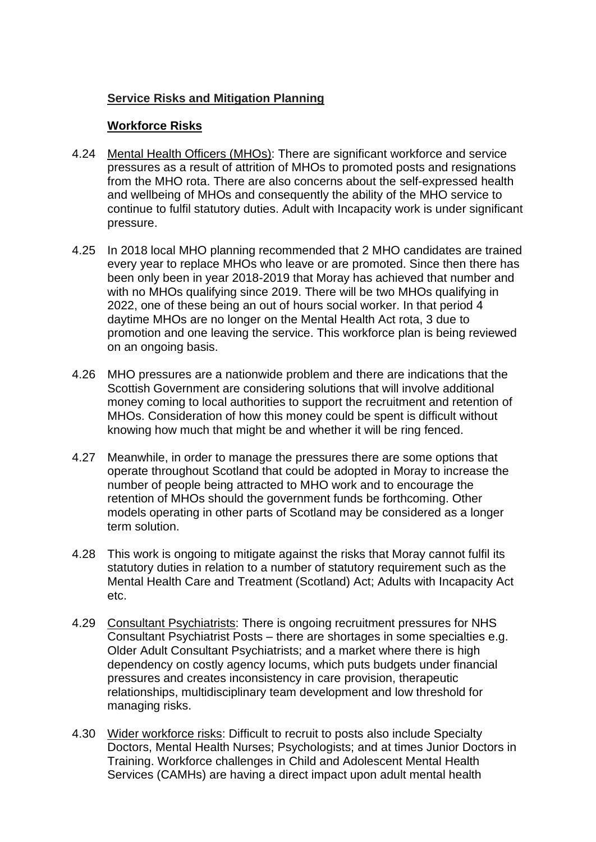## **Service Risks and Mitigation Planning**

#### **Workforce Risks**

- 4.24 Mental Health Officers (MHOs): There are significant workforce and service pressures as a result of attrition of MHOs to promoted posts and resignations from the MHO rota. There are also concerns about the self-expressed health and wellbeing of MHOs and consequently the ability of the MHO service to continue to fulfil statutory duties. Adult with Incapacity work is under significant pressure.
- 4.25 In 2018 local MHO planning recommended that 2 MHO candidates are trained every year to replace MHOs who leave or are promoted. Since then there has been only been in year 2018-2019 that Moray has achieved that number and with no MHOs qualifying since 2019. There will be two MHOs qualifying in 2022, one of these being an out of hours social worker. In that period 4 daytime MHOs are no longer on the Mental Health Act rota, 3 due to promotion and one leaving the service. This workforce plan is being reviewed on an ongoing basis.
- 4.26 MHO pressures are a nationwide problem and there are indications that the Scottish Government are considering solutions that will involve additional money coming to local authorities to support the recruitment and retention of MHOs. Consideration of how this money could be spent is difficult without knowing how much that might be and whether it will be ring fenced.
- 4.27 Meanwhile, in order to manage the pressures there are some options that operate throughout Scotland that could be adopted in Moray to increase the number of people being attracted to MHO work and to encourage the retention of MHOs should the government funds be forthcoming. Other models operating in other parts of Scotland may be considered as a longer term solution.
- 4.28 This work is ongoing to mitigate against the risks that Moray cannot fulfil its statutory duties in relation to a number of statutory requirement such as the Mental Health Care and Treatment (Scotland) Act; Adults with Incapacity Act etc.
- 4.29 Consultant Psychiatrists: There is ongoing recruitment pressures for NHS Consultant Psychiatrist Posts – there are shortages in some specialties e.g. Older Adult Consultant Psychiatrists; and a market where there is high dependency on costly agency locums, which puts budgets under financial pressures and creates inconsistency in care provision, therapeutic relationships, multidisciplinary team development and low threshold for managing risks.
- 4.30 Wider workforce risks: Difficult to recruit to posts also include Specialty Doctors, Mental Health Nurses; Psychologists; and at times Junior Doctors in Training. Workforce challenges in Child and Adolescent Mental Health Services (CAMHs) are having a direct impact upon adult mental health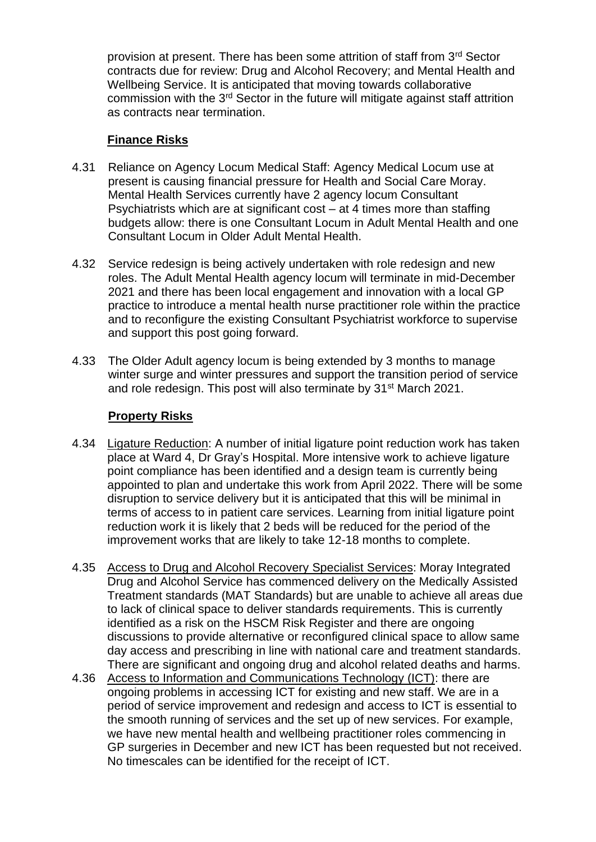provision at present. There has been some attrition of staff from 3<sup>rd</sup> Sector contracts due for review: Drug and Alcohol Recovery; and Mental Health and Wellbeing Service. It is anticipated that moving towards collaborative commission with the 3rd Sector in the future will mitigate against staff attrition as contracts near termination.

#### **Finance Risks**

- 4.31 Reliance on Agency Locum Medical Staff: Agency Medical Locum use at present is causing financial pressure for Health and Social Care Moray. Mental Health Services currently have 2 agency locum Consultant Psychiatrists which are at significant cost – at 4 times more than staffing budgets allow: there is one Consultant Locum in Adult Mental Health and one Consultant Locum in Older Adult Mental Health.
- 4.32 Service redesign is being actively undertaken with role redesign and new roles. The Adult Mental Health agency locum will terminate in mid-December 2021 and there has been local engagement and innovation with a local GP practice to introduce a mental health nurse practitioner role within the practice and to reconfigure the existing Consultant Psychiatrist workforce to supervise and support this post going forward.
- 4.33 The Older Adult agency locum is being extended by 3 months to manage winter surge and winter pressures and support the transition period of service and role redesign. This post will also terminate by 31<sup>st</sup> March 2021.

### **Property Risks**

- 4.34 Ligature Reduction: A number of initial ligature point reduction work has taken place at Ward 4, Dr Gray's Hospital. More intensive work to achieve ligature point compliance has been identified and a design team is currently being appointed to plan and undertake this work from April 2022. There will be some disruption to service delivery but it is anticipated that this will be minimal in terms of access to in patient care services. Learning from initial ligature point reduction work it is likely that 2 beds will be reduced for the period of the improvement works that are likely to take 12-18 months to complete.
- 4.35 Access to Drug and Alcohol Recovery Specialist Services: Moray Integrated Drug and Alcohol Service has commenced delivery on the Medically Assisted Treatment standards (MAT Standards) but are unable to achieve all areas due to lack of clinical space to deliver standards requirements. This is currently identified as a risk on the HSCM Risk Register and there are ongoing discussions to provide alternative or reconfigured clinical space to allow same day access and prescribing in line with national care and treatment standards. There are significant and ongoing drug and alcohol related deaths and harms.
- 4.36 Access to Information and Communications Technology (ICT): there are ongoing problems in accessing ICT for existing and new staff. We are in a period of service improvement and redesign and access to ICT is essential to the smooth running of services and the set up of new services. For example, we have new mental health and wellbeing practitioner roles commencing in GP surgeries in December and new ICT has been requested but not received. No timescales can be identified for the receipt of ICT.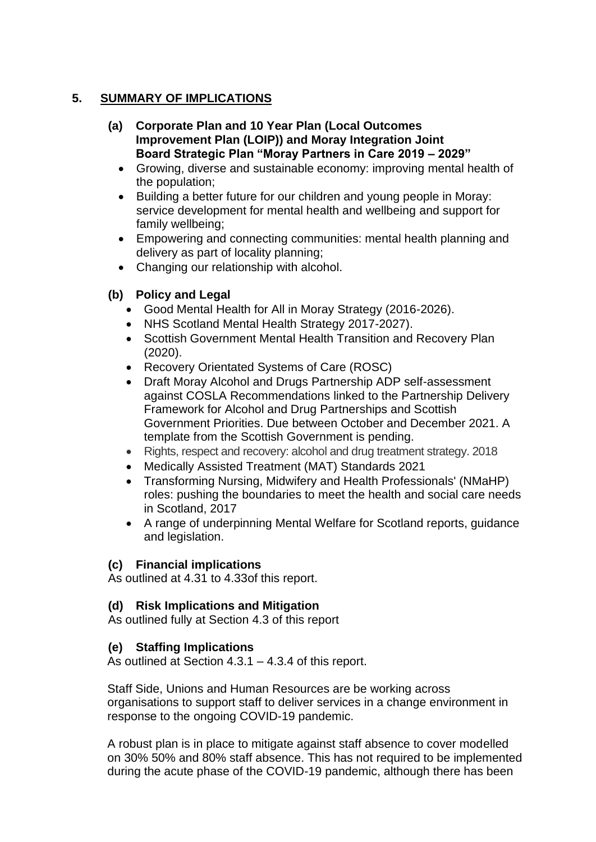## **5. SUMMARY OF IMPLICATIONS**

- **(a) Corporate Plan and 10 Year Plan (Local Outcomes Improvement Plan (LOIP)) and Moray Integration Joint Board Strategic Plan "Moray Partners in Care 2019 – 2029"**
	- Growing, diverse and sustainable economy: improving mental health of the population;
	- Building a better future for our children and young people in Moray: service development for mental health and wellbeing and support for family wellbeing;
	- Empowering and connecting communities: mental health planning and delivery as part of locality planning;
	- Changing our relationship with alcohol.

## **(b) Policy and Legal**

- Good Mental Health for All in Moray Strategy (2016-2026).
- NHS Scotland Mental Health Strategy 2017-2027).
- Scottish Government Mental Health Transition and Recovery Plan (2020).
- Recovery Orientated Systems of Care (ROSC)
- Draft Moray Alcohol and Drugs Partnership ADP self-assessment against COSLA Recommendations linked to the Partnership Delivery Framework for Alcohol and Drug Partnerships and Scottish Government Priorities. Due between October and December 2021. A template from the Scottish Government is pending.
- Rights, respect and recovery: alcohol and drug treatment strategy. 2018
- Medically Assisted Treatment (MAT) Standards 2021
- Transforming Nursing, Midwifery and Health Professionals' (NMaHP) roles: pushing the boundaries to meet the health and social care needs in Scotland, 2017
- A range of underpinning Mental Welfare for Scotland reports, guidance and legislation.

### **(c) Financial implications**

As outlined at 4.31 to 4.33of this report.

### **(d) Risk Implications and Mitigation**

As outlined fully at Section 4.3 of this report

### **(e) Staffing Implications**

As outlined at Section 4.3.1 – 4.3.4 of this report.

Staff Side, Unions and Human Resources are be working across organisations to support staff to deliver services in a change environment in response to the ongoing COVID-19 pandemic.

A robust plan is in place to mitigate against staff absence to cover modelled on 30% 50% and 80% staff absence. This has not required to be implemented during the acute phase of the COVID-19 pandemic, although there has been